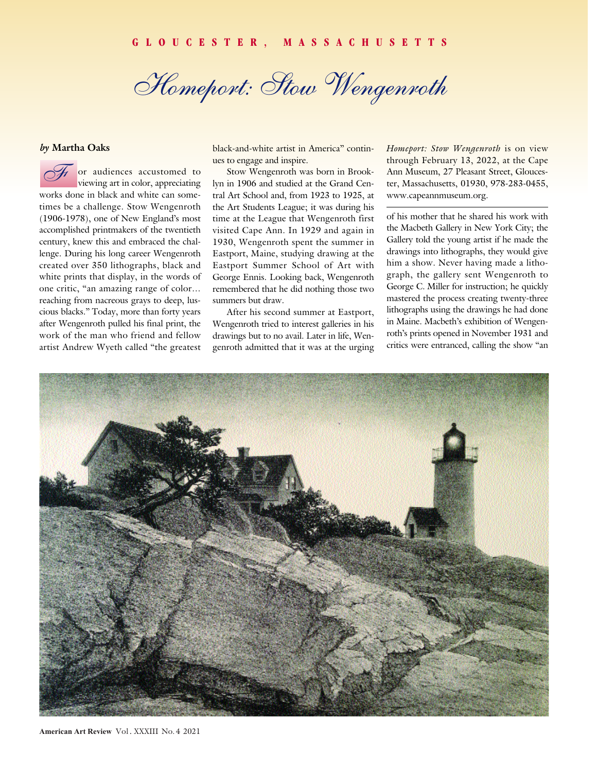*Homeport: Stow Wengenroth*

## *by* **Martha Oaks**

f or audiences accustomed to viewing art in color, appreciating works done in black and white can sometimes be a challenge. Stow Wengenroth (1906-1978), one of New England's most accomplished printmakers of the twentieth century, knew this and embraced the challenge. During his long career Wengenroth created over 350 lithographs, black and white prints that display, in the words of one critic, "an amazing range of color… reaching from nacreous grays to deep, luscious blacks." Today, more than forty years after Wengenroth pulled his final print, the work of the man who friend and fellow artist Andrew Wyeth called "the greatest *F*

black-and-white artist in America" continues to engage and inspire.

Stow Wengenroth was born in Brooklyn in 1906 and studied at the Grand Central Art School and, from 1923 to 1925, at the Art Students League; it was during his time at the League that Wengenroth first visited Cape Ann. In 1929 and again in 1930, Wengenroth spent the summer in Eastport, Maine, studying drawing at the Eastport Summer School of Art with George Ennis. Looking back, Wengenroth remembered that he did nothing those two summers but draw.

After his second summer at Eastport, Wengenroth tried to interest galleries in his drawings but to no avail. Later in life, Wengenroth admitted that it was at the urging *Homeport: Stow Wengenroth* is on view through February 13, 2022, at the Cape Ann Museum, 27 Pleasant Street, Gloucester, Massachusetts, 01930, 978-283-0455, www.capeannmuseum.org.

of his mother that he shared his work with the Macbeth Gallery in New York City; the Gallery told the young artist if he made the drawings into lithographs, they would give him a show. Never having made a lithograph, the gallery sent Wengenroth to George C. Miller for instruction; he quickly mastered the process creating twenty-three lithographs using the drawings he had done in Maine. Macbeth's exhibition of Wengenroth's prints opened in November 1931 and critics were entranced, calling the show "an

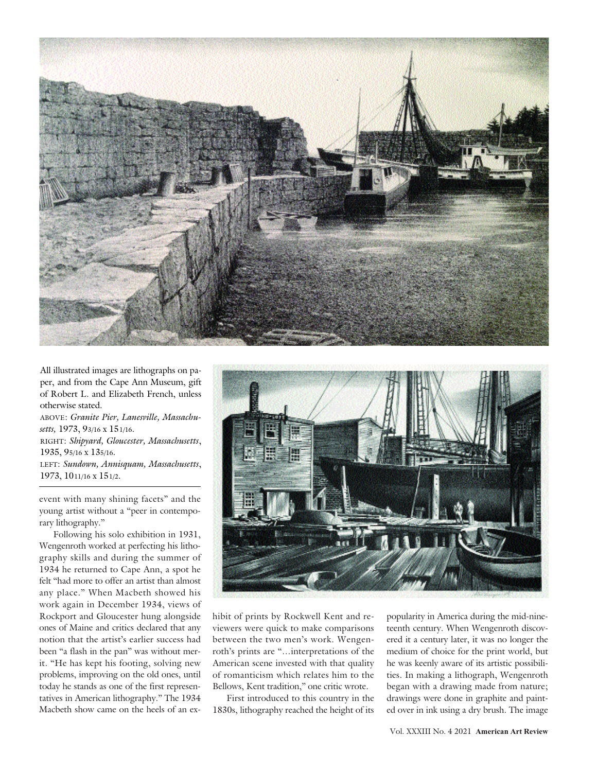

All illustrated images are lithographs on paper, and from the Cape Ann Museum, gift of Robert L. and Elizabeth French, unless otherwise stated.

ABOVE: *Granite Pier, Lanesville, Massachusetts,* 1973, 93/16 x 151/16. RIGHT: *Shipyard, Gloucester, Massachusetts*, 1935, 95/16 x 135/16. LEFT: *Sundown, Annisquam, Massachusetts*, 1973, 1011/16 x 151/2.

event with many shining facets" and the young artist without a "peer in contemporary lithography."

Following his solo exhibition in 1931, Wengenroth worked at perfecting his lithography skills and during the summer of 1934 he returned to Cape Ann, a spot he felt "had more to offer an artist than almost any place." When Macbeth showed his work again in December 1934, views of Rockport and Gloucester hung alongside ones of Maine and critics declared that any notion that the artist's earlier success had been "a flash in the pan" was without merit. "He has kept his footing, solving new problems, improving on the old ones, until today he stands as one of the first representatives in American lithography." The 1934 Macbeth show came on the heels of an ex-



hibit of prints by Rockwell Kent and reviewers were quick to make comparisons between the two men's work. Wengenroth's prints are "…interpretations of the American scene invested with that quality of romanticism which relates him to the Bellows, Kent tradition," one critic wrote.

First introduced to this country in the 1830s, lithography reached the height of its popularity in America during the mid-nineteenth century. When Wengenroth discovered it a century later, it was no longer the medium of choice for the print world, but he was keenly aware of its artistic possibilities. In making a lithograph, Wengenroth began with a drawing made from nature; drawings were done in graphite and painted over in ink using a dry brush. The image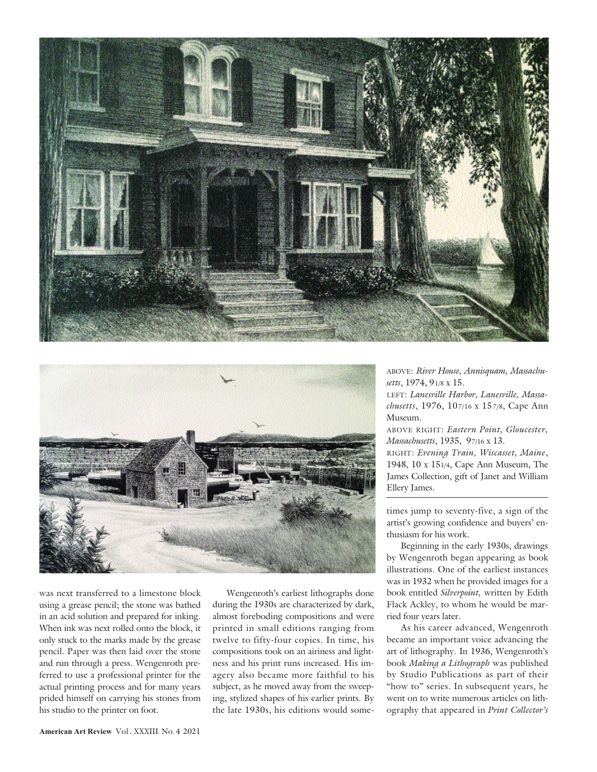



was next transferred to a limestone block using a grease pencil; the stone was bathed in an acid solution and prepared for inking. When ink was next rolled onto the block, it only stuck to the marks made by the grease pencil. Paper was then laid over the stone and run through a press. Wengenroth preferred to use a professional printer for the actual printing process and for many years prided himself on carrying his stones from his studio to the printer on foot.

Wengenroth's earliest lithographs done during the 1930s are characterized by dark, almost foreboding compositions and were printed in small editions ranging from twelve to fifty-four copies. In time, his compositions took on an airiness and lightness and his print runs increased. His imagery also became more faithful to his subject, as he moved away from the sweeping, stylized shapes of his earlier prints. By the late 1930s, his editions would someABOVE: *River House, Annisquam, Massachusetts*, 1974, 91/8 x 15.

LEFT: *Lanesville Harbor, Lanesville, Massachusetts*, 1976, 107/16 x 157/8, Cape Ann Museum.

ABOVE RIGHT: *Eastern Point, Gloucester, Massachusetts*, 1935, 97/16 x 13.

RIGHT: *Evening Train, Wiscasset, Maine*, 1948, 10 x 151/4, Cape Ann Museum, The James Collection, gift of Janet and William Ellery James.

times jump to seventy-five, a sign of the artist's growing confidence and buyers' enthusiasm for his work.

Beginning in the early 1930s, drawings by Wengenroth began appearing as book illustrations. One of the earliest instances was in 1932 when he provided images for a book entitled *Silverpoint,* written by Edith Flack Ackley, to whom he would be married four years later.

As his career advanced, Wengenroth became an important voice advancing the art of lithography. In 1936, Wengenroth's book *Making a Lithograph* was published by Studio Publications as part of their "how to" series. In subsequent years, he went on to write numerous articles on lithography that appeared in *Print Collector's*